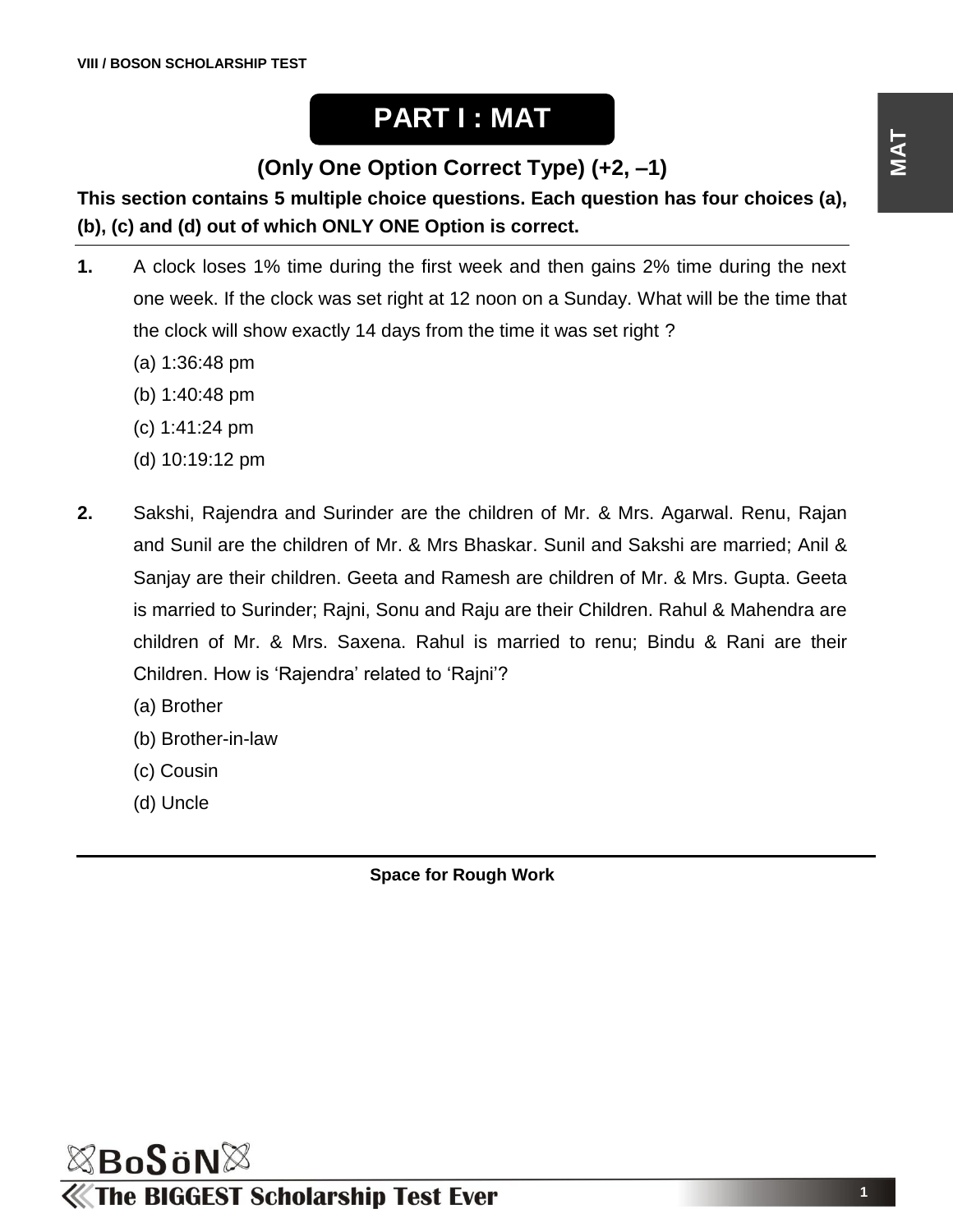## **PART I : MAT**

**(Only One Option Correct Type) (+2, –1)**

**This section contains 5 multiple choice questions. Each question has four choices (a), (b), (c) and (d) out of which ONLY ONE Option is correct.**

- **1.** A clock loses 1% time during the first week and then gains 2% time during the next one week. If the clock was set right at 12 noon on a Sunday. What will be the time that the clock will show exactly 14 days from the time it was set right ?
	- (a) 1:36:48 pm
	- (b) 1:40:48 pm
	- (c) 1:41:24 pm
	- (d) 10:19:12 pm
- **2.** Sakshi, Rajendra and Surinder are the children of Mr. & Mrs. Agarwal. Renu, Rajan and Sunil are the children of Mr. & Mrs Bhaskar. Sunil and Sakshi are married; Anil & Sanjay are their children. Geeta and Ramesh are children of Mr. & Mrs. Gupta. Geeta is married to Surinder; Rajni, Sonu and Raju are their Children. Rahul & Mahendra are children of Mr. & Mrs. Saxena. Rahul is married to renu; Bindu & Rani are their Children. How is 'Rajendra' related to 'Rajni'?
	- (a) Brother
	- (b) Brother-in-law
	- (c) Cousin
	- (d) Uncle

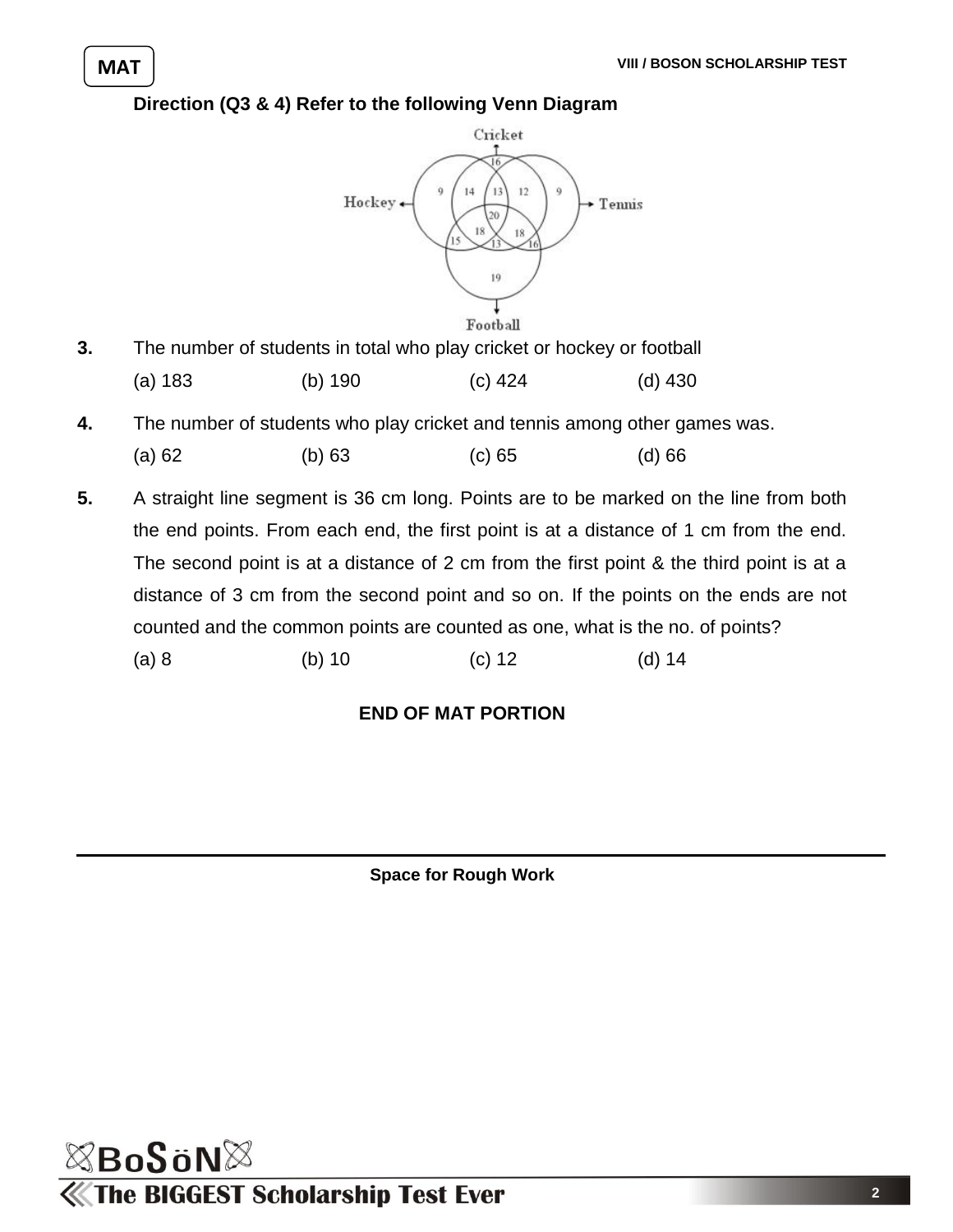#### **Direction (Q3 & 4) Refer to the following Venn Diagram**



**3.** The number of students in total who play cricket or hockey or football

|  | (a) 183 | (b) $190$ | (c) 424 | (d) 430 |
|--|---------|-----------|---------|---------|
|--|---------|-----------|---------|---------|

- **4.** The number of students who play cricket and tennis among other games was.
	- (a) 62 (b) 63 (c) 65 (d) 66
- **5.** A straight line segment is 36 cm long. Points are to be marked on the line from both the end points. From each end, the first point is at a distance of 1 cm from the end. The second point is at a distance of 2 cm from the first point & the third point is at a distance of 3 cm from the second point and so on. If the points on the ends are not counted and the common points are counted as one, what is the no. of points?
	- (a) 8 (b) 10 (c) 12 (d) 14

#### **END OF MAT PORTION**

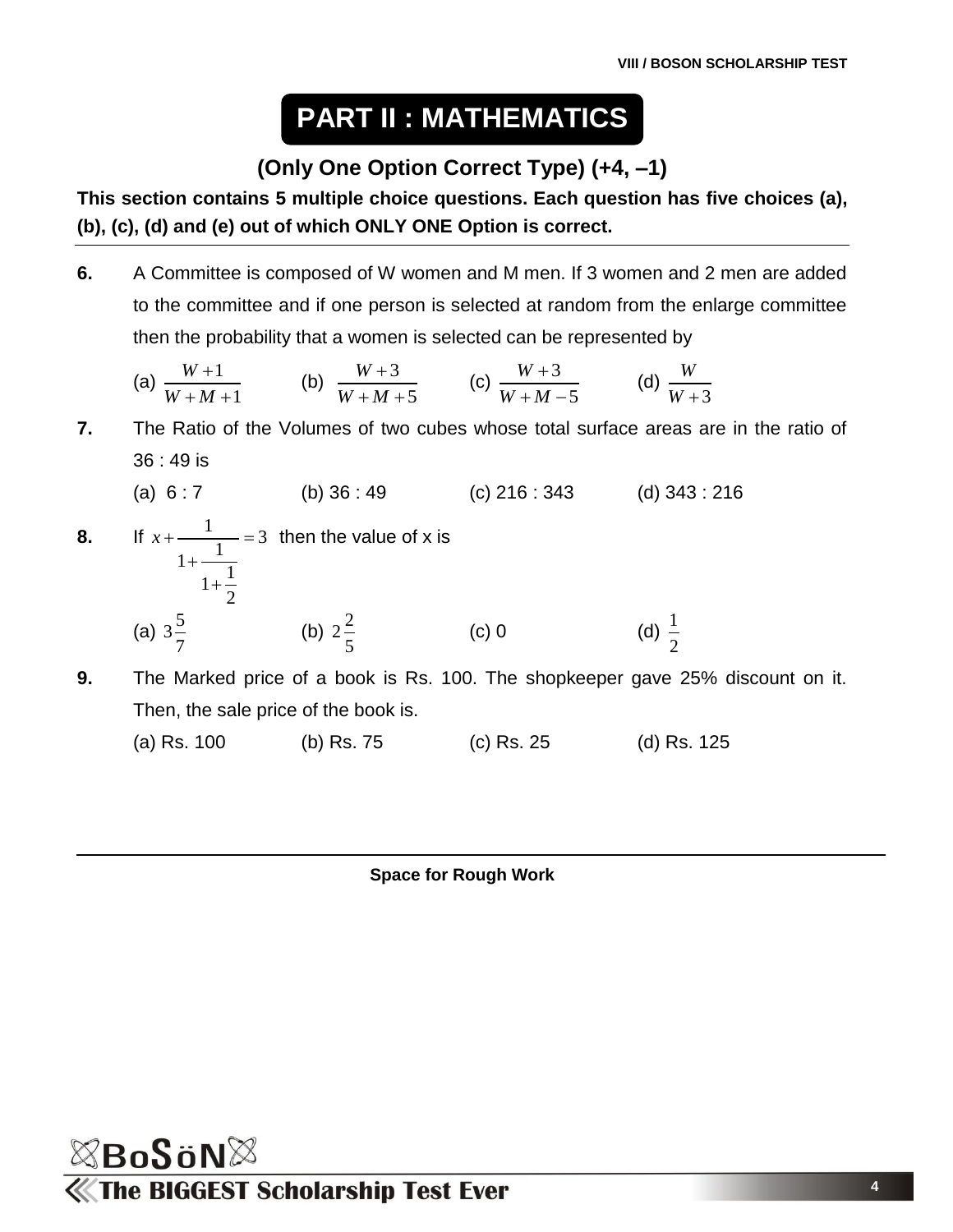# **PART II : MATHEMATICS**

### **(Only One Option Correct Type) (+4, –1)**

**This section contains 5 multiple choice questions. Each question has five choices (a), (b), (c), (d) and (e) out of which ONLY ONE Option is correct.**

**6.** A Committee is composed of W women and M men. If 3 women and 2 men are added to the committee and if one person is selected at random from the enlarge committee then the probability that a women is selected can be represented by

(a) 
$$
\frac{W+1}{W+M+1}
$$
 (b)  $\frac{W+3}{W+M+5}$  (c)  $\frac{W+3}{W+M-5}$  (d)  $\frac{W}{W+3}$ 

**7.** The Ratio of the Volumes of two cubes whose total surface areas are in the ratio of 36 : 49 is

(a) 
$$
6:7
$$
 (b)  $36:49$  (c)  $216:343$  (d)  $343:216$ 

**8.** If  $x + \frac{1}{1 + \frac{1}{1 + \frac{1}{2}}} = 3$ 2  $x + \frac{1}{1} = 3$  $\ddot{}$  $\ddot{}$  then the value of x is (a)  $3\frac{5}{7}$ 7 (b)  $2\frac{2}{7}$ 5  $(c)$  0 1 2

**9.** The Marked price of a book is Rs. 100. The shopkeeper gave 25% discount on it. Then, the sale price of the book is.

(a) Rs. 100 (b) Rs. 75 (c) Rs. 25 (d) Rs. 125

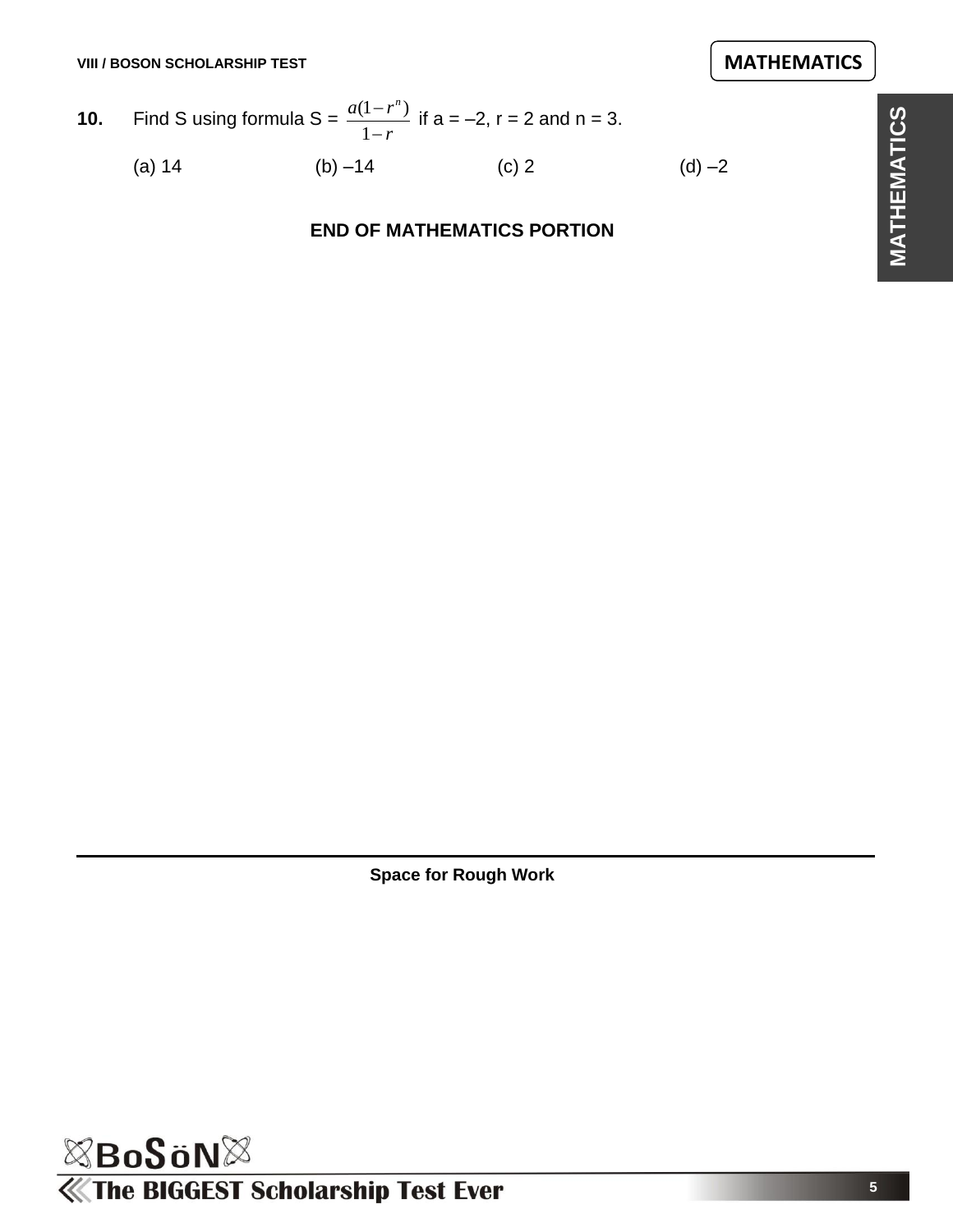**10.** Find S using formula S = 
$$
\frac{a(1 - r^n)}{1 - r}
$$
 if a = -2, r = 2 and n = 3.  
\n(a) 14 (b) -14 (c) 2 (d) -2

#### **END OF MATHEMATICS PORTION**

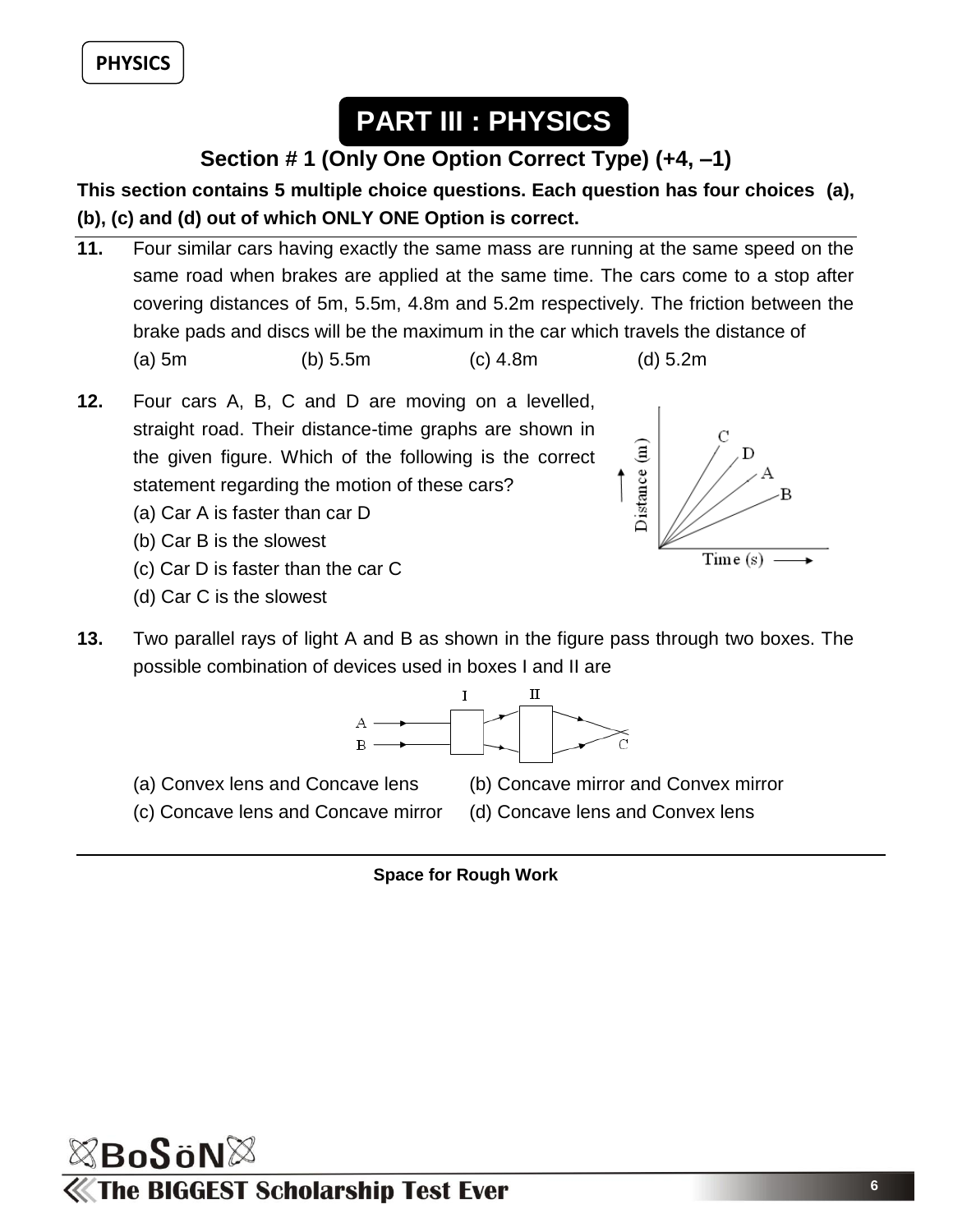# **PART III : PHYSICS**

### **Section # 1 (Only One Option Correct Type) (+4, –1)**

#### **This section contains 5 multiple choice questions. Each question has four choices (a), (b), (c) and (d) out of which ONLY ONE Option is correct.**

- **11.** Four similar cars having exactly the same mass are running at the same speed on the same road when brakes are applied at the same time. The cars come to a stop after covering distances of 5m, 5.5m, 4.8m and 5.2m respectively. The friction between the brake pads and discs will be the maximum in the car which travels the distance of (a) 5m (b) 5.5m (c) 4.8m (d) 5.2m
- **12.** Four cars A, B, C and D are moving on a levelled, straight road. Their distance-time graphs are shown in the given figure. Which of the following is the correct statement regarding the motion of these cars?
	- (a) Car A is faster than car D
	- (b) Car B is the slowest
	- (c) Car D is faster than the car C
	- (d) Car C is the slowest



**13.** Two parallel rays of light A and B as shown in the figure pass through two boxes. The possible combination of devices used in boxes I and II are



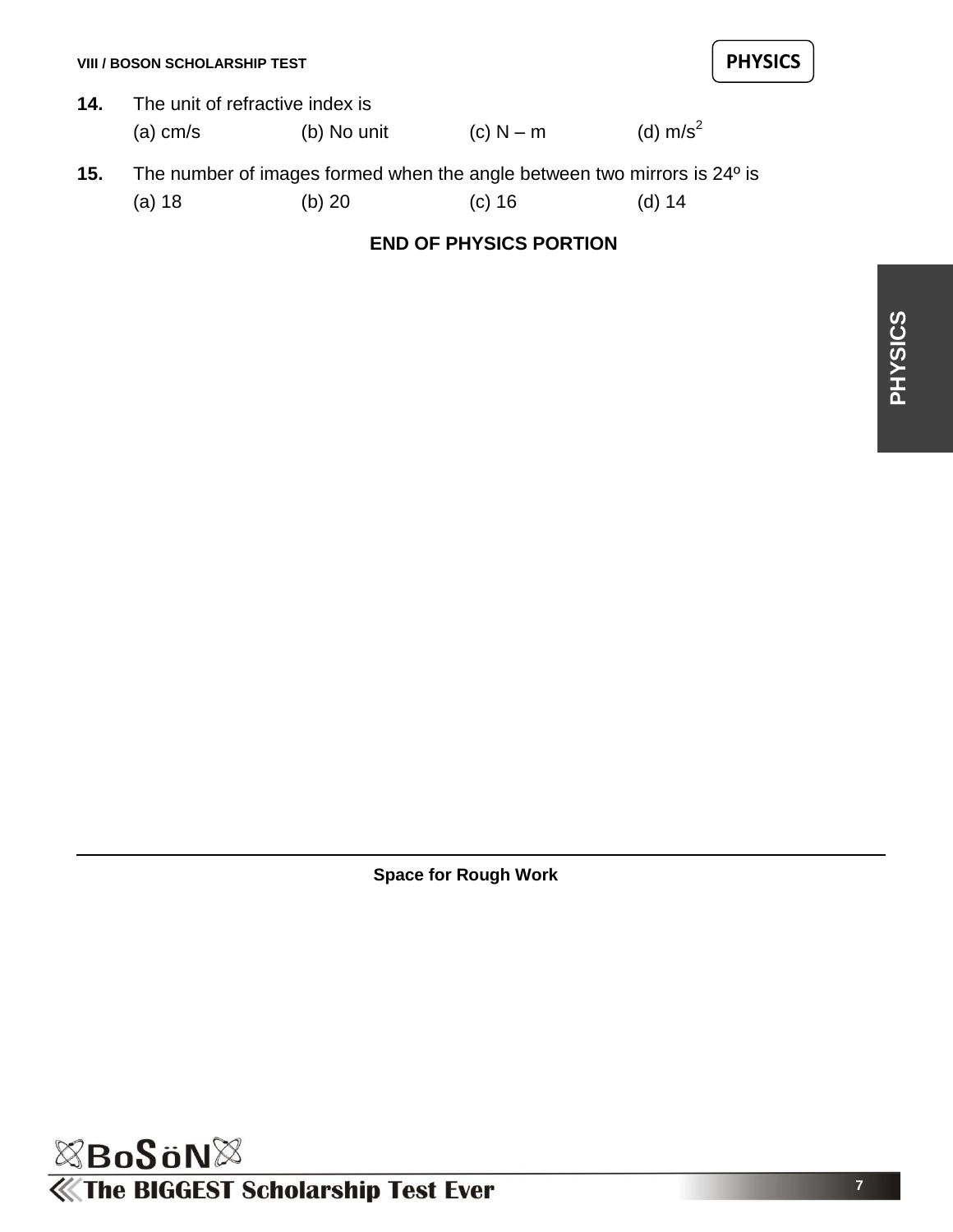- **14.** The unit of refractive index is (a) cm/s (b) No unit (c) N – m (d) m/s<sup>2</sup>
- **15.** The number of images formed when the angle between two mirrors is 24º is (a) 18 (b) 20 (c) 16 (d) 14

#### **END OF PHYSICS PORTION**

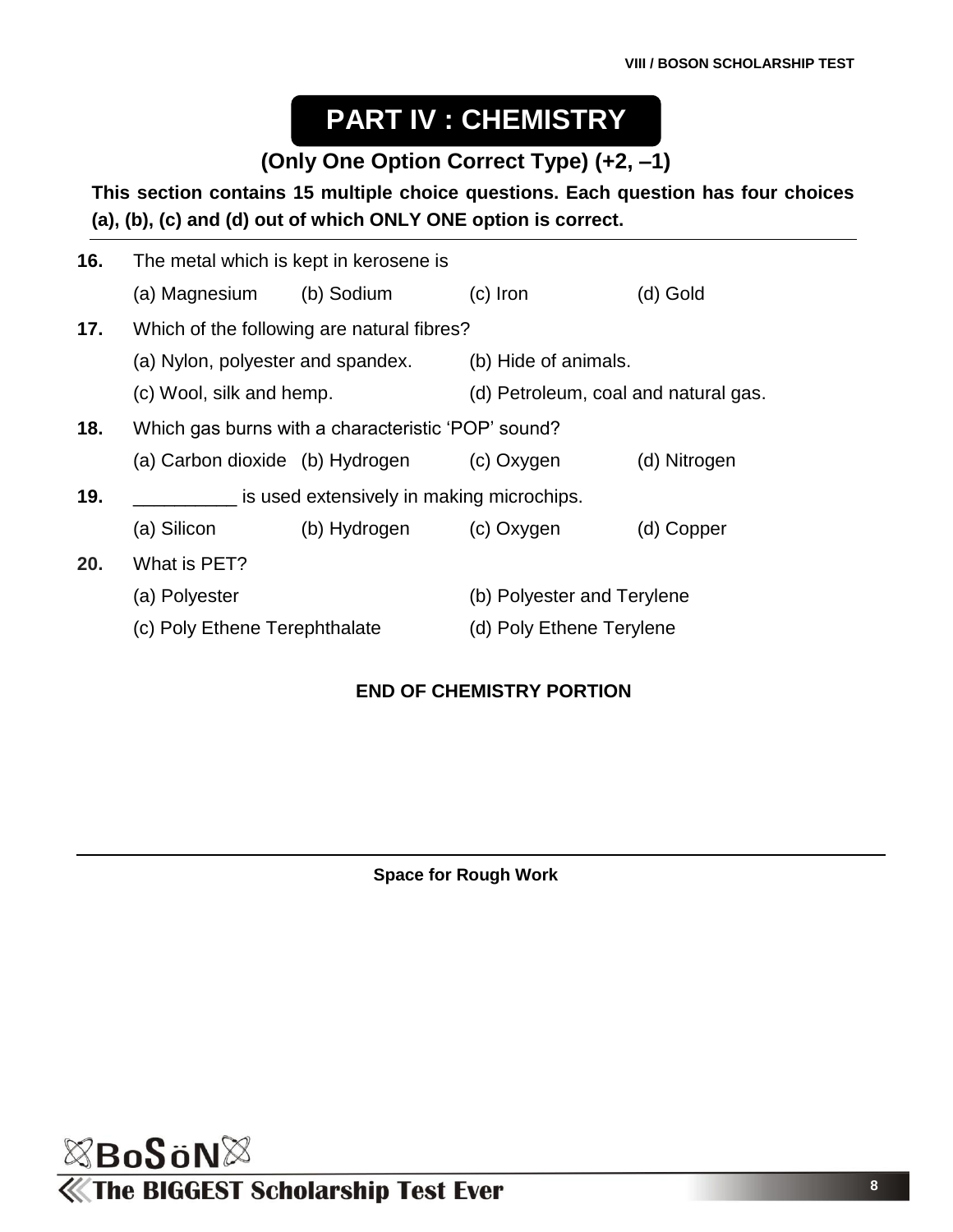# **PART IV : CHEMISTRY**

#### **(Only One Option Correct Type) (+2, –1)**

#### **This section contains 15 multiple choice questions. Each question has four choices (a), (b), (c) and (d) out of which ONLY ONE option is correct.**

| 16. | The metal which is kept in kerosene is                    |                                                                  |                            |              |  |
|-----|-----------------------------------------------------------|------------------------------------------------------------------|----------------------------|--------------|--|
|     | (a) Magnesium                                             | (b) Sodium                                                       | $(c)$ Iron                 | (d) Gold     |  |
| 17. | Which of the following are natural fibres?                |                                                                  |                            |              |  |
|     | (a) Nylon, polyester and spandex.                         |                                                                  | (b) Hide of animals.       |              |  |
|     |                                                           | (d) Petroleum, coal and natural gas.<br>(c) Wool, silk and hemp. |                            |              |  |
| 18. | Which gas burns with a characteristic 'POP' sound?        |                                                                  |                            |              |  |
|     | (a) Carbon dioxide (b) Hydrogen                           |                                                                  | (c) Oxygen                 | (d) Nitrogen |  |
| 19. | is used extensively in making microchips.                 |                                                                  |                            |              |  |
|     | (a) Silicon                                               | (b) Hydrogen                                                     | (c) Oxygen                 | (d) Copper   |  |
| 20. | What is PET?                                              |                                                                  |                            |              |  |
|     | (a) Polyester                                             |                                                                  | (b) Polyester and Terylene |              |  |
|     | (c) Poly Ethene Terephthalate<br>(d) Poly Ethene Terylene |                                                                  |                            |              |  |
|     |                                                           |                                                                  |                            |              |  |

#### **END OF CHEMISTRY PORTION**